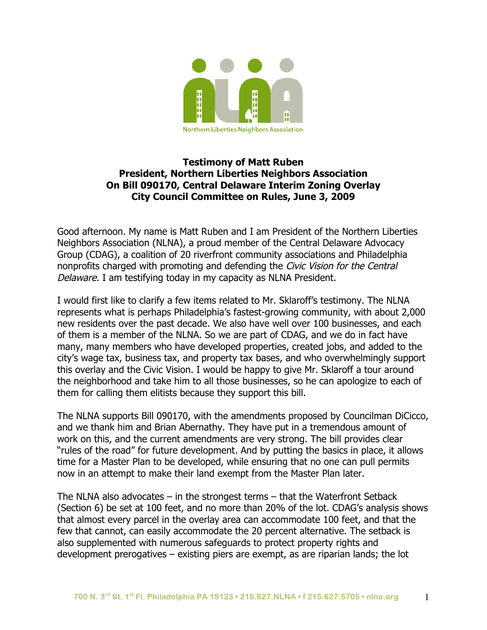

## **Testimony of Matt Ruben President, Northern Liberties Neighbors Association On Bill 090170, Central Delaware Interim Zoning Overlay City Council Committee on Rules, June 3, 2009**

Good afternoon. My name is Matt Ruben and I am President of the Northern Liberties Neighbors Association (NLNA), a proud member of the Central Delaware Advocacy Group (CDAG), a coalition of 20 riverfront community associations and Philadelphia nonprofits charged with promoting and defending the Civic Vision for the Central Delaware. I am testifying today in my capacity as NLNA President.

I would first like to clarify a few items related to Mr. Sklaroff's testimony. The NLNA represents what is perhaps Philadelphia's fastest-growing community, with about 2,000 new residents over the past decade. We also have well over 100 businesses, and each of them is a member of the NLNA. So we are part of CDAG, and we do in fact have many, many members who have developed properties, created jobs, and added to the city's wage tax, business tax, and property tax bases, and who overwhelmingly support this overlay and the Civic Vision. I would be happy to give Mr. Sklaroff a tour around the neighborhood and take him to all those businesses, so he can apologize to each of them for calling them elitists because they support this bill.

The NLNA supports Bill 090170, with the amendments proposed by Councilman DiCicco, and we thank him and Brian Abernathy. They have put in a tremendous amount of work on this, and the current amendments are very strong. The bill provides clear "rules of the road" for future development. And by putting the basics in place, it allows time for a Master Plan to be developed, while ensuring that no one can pull permits now in an attempt to make their land exempt from the Master Plan later.

The NLNA also advocates – in the strongest terms – that the Waterfront Setback (Section 6) be set at 100 feet, and no more than 20% of the lot. CDAG's analysis shows that almost every parcel in the overlay area can accommodate 100 feet, and that the few that cannot, can easily accommodate the 20 percent alternative. The setback is also supplemented with numerous safeguards to protect property rights and development prerogatives – existing piers are exempt, as are riparian lands; the lot